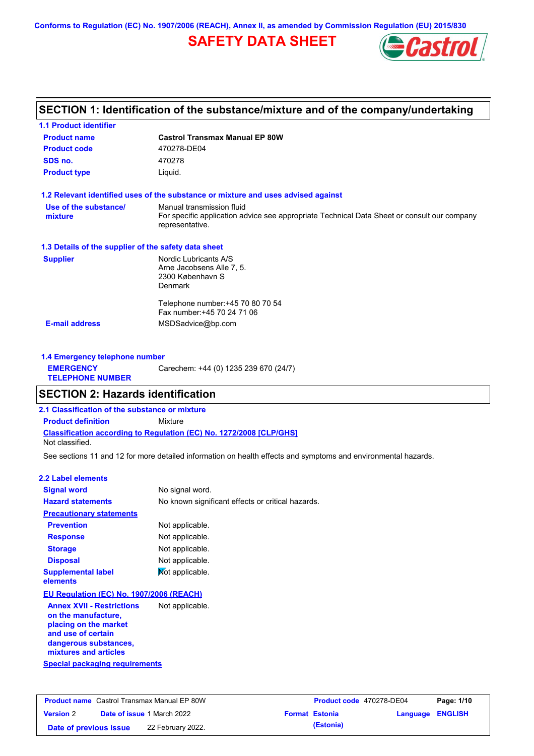**Conforms to Regulation (EC) No. 1907/2006 (REACH), Annex II, as amended by Commission Regulation (EU) 2015/830**

# **SAFETY DATA SHEET**



## **SECTION 1: Identification of the substance/mixture and of the company/undertaking**

| <b>1.1 Product identifier</b>                        |                                                                                                                |
|------------------------------------------------------|----------------------------------------------------------------------------------------------------------------|
| <b>Product name</b>                                  | <b>Castrol Transmax Manual EP 80W</b>                                                                          |
| <b>Product code</b>                                  | 470278-DE04                                                                                                    |
| SDS no.                                              | 470278                                                                                                         |
| <b>Product type</b>                                  | Liquid.                                                                                                        |
|                                                      | 1.2 Relevant identified uses of the substance or mixture and uses advised against                              |
| Use of the substance/                                | Manual transmission fluid                                                                                      |
| mixture                                              | For specific application advice see appropriate Technical Data Sheet or consult our company<br>representative. |
| 1.3 Details of the supplier of the safety data sheet |                                                                                                                |
| <b>Supplier</b>                                      | Nordic Lubricants A/S                                                                                          |
|                                                      | Arne Jacobsens Alle 7, 5.                                                                                      |
|                                                      | 2300 København S<br><b>Denmark</b>                                                                             |
|                                                      |                                                                                                                |
|                                                      | Telephone number: +45 70 80 70 54                                                                              |
|                                                      | Fax number: +45 70 24 71 06                                                                                    |
| <b>E-mail address</b>                                | MSDSadvice@bp.com                                                                                              |
|                                                      |                                                                                                                |
|                                                      |                                                                                                                |

| 1.4 Emergency telephone number              |                                       |  |  |  |
|---------------------------------------------|---------------------------------------|--|--|--|
| <b>EMERGENCY</b><br><b>TELEPHONE NUMBER</b> | Carechem: +44 (0) 1235 239 670 (24/7) |  |  |  |

## **SECTION 2: Hazards identification**

**2.1 Classification of the substance or mixture**

**Classification according to Regulation (EC) No. 1272/2008 [CLP/GHS] Product definition** Mixture

Not classified.

See sections 11 and 12 for more detailed information on health effects and symptoms and environmental hazards.

#### **2.2 Label elements**

| <b>Signal word</b>                                                                                                                                       | No signal word.                                   |
|----------------------------------------------------------------------------------------------------------------------------------------------------------|---------------------------------------------------|
| <b>Hazard statements</b>                                                                                                                                 | No known significant effects or critical hazards. |
| <b>Precautionary statements</b>                                                                                                                          |                                                   |
| <b>Prevention</b>                                                                                                                                        | Not applicable.                                   |
| <b>Response</b>                                                                                                                                          | Not applicable.                                   |
| <b>Storage</b>                                                                                                                                           | Not applicable.                                   |
| <b>Disposal</b>                                                                                                                                          | Not applicable.                                   |
| <b>Supplemental label</b><br>elements                                                                                                                    | Mot applicable.                                   |
| EU Regulation (EC) No. 1907/2006 (REACH)                                                                                                                 |                                                   |
| <b>Annex XVII - Restrictions</b><br>on the manufacture,<br>placing on the market<br>and use of certain<br>dangerous substances,<br>mixtures and articles | Not applicable.                                   |
| Special packaging requirements                                                                                                                           |                                                   |

| <b>Product name</b> Castrol Transmax Manual EP 80W |  |                                   | Product code 470278-DE04 |                       | Page: 1/10              |  |
|----------------------------------------------------|--|-----------------------------------|--------------------------|-----------------------|-------------------------|--|
| <b>Version 2</b>                                   |  | <b>Date of issue 1 March 2022</b> |                          | <b>Format Estonia</b> | <b>Language ENGLISH</b> |  |
| Date of previous issue                             |  | 22 February 2022.                 |                          | (Estonia)             |                         |  |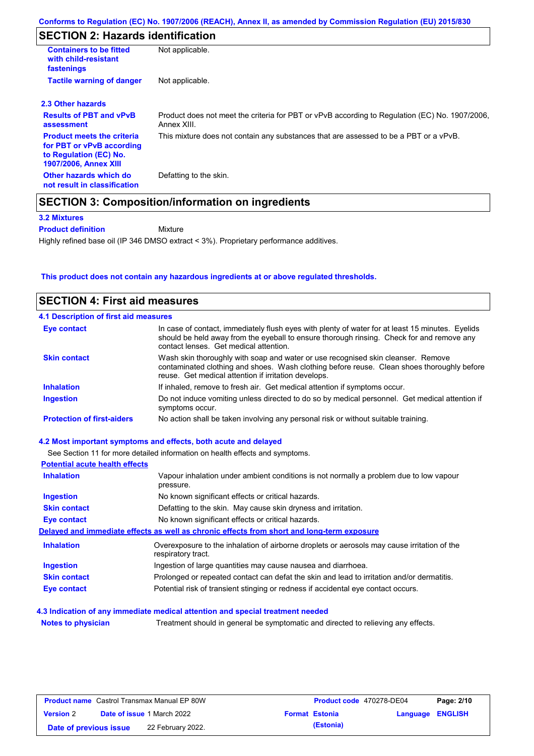# **SECTION 2: Hazards identification**

| <b>Containers to be fitted</b><br>with child-resistant<br>fastenings                                                     | Not applicable.                                                                                               |
|--------------------------------------------------------------------------------------------------------------------------|---------------------------------------------------------------------------------------------------------------|
| <b>Tactile warning of danger</b>                                                                                         | Not applicable.                                                                                               |
| 2.3 Other hazards                                                                                                        |                                                                                                               |
| <b>Results of PBT and vPvB</b><br>assessment                                                                             | Product does not meet the criteria for PBT or vPvB according to Regulation (EC) No. 1907/2006,<br>Annex XIII. |
| <b>Product meets the criteria</b><br>for PBT or vPvB according<br>to Regulation (EC) No.<br><b>1907/2006, Annex XIII</b> | This mixture does not contain any substances that are assessed to be a PBT or a vPvB.                         |
| Other hazards which do<br>not result in classification                                                                   | Defatting to the skin.                                                                                        |

**3.2 Mixtures**

**Product definition**

Mixture

Highly refined base oil (IP 346 DMSO extract < 3%). Proprietary performance additives.

## **This product does not contain any hazardous ingredients at or above regulated thresholds.**

| <b>SECTION 4: First aid measures</b>         |                                                                                                                                                                                                                                         |
|----------------------------------------------|-----------------------------------------------------------------------------------------------------------------------------------------------------------------------------------------------------------------------------------------|
| <b>4.1 Description of first aid measures</b> |                                                                                                                                                                                                                                         |
| Eye contact                                  | In case of contact, immediately flush eyes with plenty of water for at least 15 minutes. Eyelids<br>should be held away from the eyeball to ensure thorough rinsing. Check for and remove any<br>contact lenses. Get medical attention. |
| <b>Skin contact</b>                          | Wash skin thoroughly with soap and water or use recognised skin cleanser. Remove<br>contaminated clothing and shoes. Wash clothing before reuse. Clean shoes thoroughly before<br>reuse. Get medical attention if irritation develops.  |
| <b>Inhalation</b>                            | If inhaled, remove to fresh air. Get medical attention if symptoms occur.                                                                                                                                                               |
| Ingestion                                    | Do not induce vomiting unless directed to do so by medical personnel. Get medical attention if<br>symptoms occur.                                                                                                                       |
| <b>Protection of first-aiders</b>            | No action shall be taken involving any personal risk or without suitable training.                                                                                                                                                      |
|                                              | 4.2 Most important symptoms and effects, both acute and delayed                                                                                                                                                                         |
|                                              | See Section 11 for more detailed information on health effects and symptoms.                                                                                                                                                            |
| <b>Potential acute health effects</b>        |                                                                                                                                                                                                                                         |
| <b>Inhalation</b>                            | Vapour inhalation under ambient conditions is not normally a problem due to low vapour<br>pressure.                                                                                                                                     |
| <b>Ingestion</b>                             | No known significant effects or critical hazards.                                                                                                                                                                                       |

| Ingestion           | No known significant effects or critical hazards.                                                                 |
|---------------------|-------------------------------------------------------------------------------------------------------------------|
| <b>Skin contact</b> | Defatting to the skin. May cause skin dryness and irritation.                                                     |
| Eye contact         | No known significant effects or critical hazards.                                                                 |
|                     | Delayed and immediate effects as well as chronic effects from short and long-term exposure                        |
| <b>Inhalation</b>   | Overexposure to the inhalation of airborne droplets or aerosols may cause irritation of the<br>respiratory tract. |
| <b>Ingestion</b>    | Ingestion of large quantities may cause nausea and diarrhoea.                                                     |
| <b>Skin contact</b> | Prolonged or repeated contact can defat the skin and lead to irritation and/or dermatitis.                        |
| <b>Eye contact</b>  | Potential risk of transient stinging or redness if accidental eye contact occurs.                                 |
|                     |                                                                                                                   |

## **4.3 Indication of any immediate medical attention and special treatment needed**

**Notes to physician** Treatment should in general be symptomatic and directed to relieving any effects.

| <b>Product name</b> Castrol Transmax Manual EP 80W |  | Product code 470278-DE04          |  | Page: 2/10            |                  |  |
|----------------------------------------------------|--|-----------------------------------|--|-----------------------|------------------|--|
| <b>Version 2</b>                                   |  | <b>Date of issue 1 March 2022</b> |  | <b>Format Estonia</b> | Language ENGLISH |  |
| Date of previous issue                             |  | 22 February 2022.                 |  | (Estonia)             |                  |  |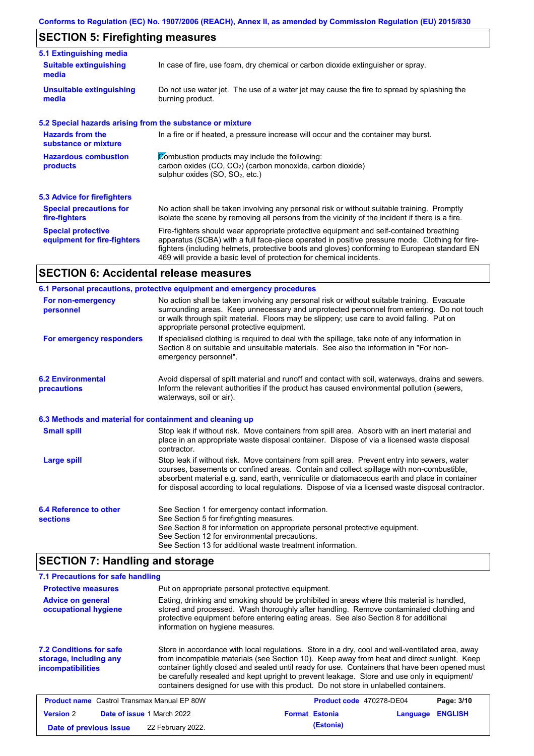# **SECTION 5: Firefighting measures**

| 5.1 Extinguishing media                                   |                                                                                                                                                                                                                                                                                                                                                                   |
|-----------------------------------------------------------|-------------------------------------------------------------------------------------------------------------------------------------------------------------------------------------------------------------------------------------------------------------------------------------------------------------------------------------------------------------------|
| <b>Suitable extinguishing</b><br>media                    | In case of fire, use foam, dry chemical or carbon dioxide extinguisher or spray.                                                                                                                                                                                                                                                                                  |
| <b>Unsuitable extinguishing</b><br>media                  | Do not use water jet. The use of a water jet may cause the fire to spread by splashing the<br>burning product.                                                                                                                                                                                                                                                    |
| 5.2 Special hazards arising from the substance or mixture |                                                                                                                                                                                                                                                                                                                                                                   |
| <b>Hazards from the</b><br>substance or mixture           | In a fire or if heated, a pressure increase will occur and the container may burst.                                                                                                                                                                                                                                                                               |
| <b>Hazardous combustion</b><br>products                   | Combustion products may include the following:<br>carbon oxides (CO, CO <sub>2</sub> ) (carbon monoxide, carbon dioxide)<br>sulphur oxides (SO, SO <sub>2</sub> , etc.)                                                                                                                                                                                           |
| <b>5.3 Advice for firefighters</b>                        |                                                                                                                                                                                                                                                                                                                                                                   |
| <b>Special precautions for</b><br>fire-fighters           | No action shall be taken involving any personal risk or without suitable training. Promptly<br>isolate the scene by removing all persons from the vicinity of the incident if there is a fire.                                                                                                                                                                    |
| <b>Special protective</b><br>equipment for fire-fighters  | Fire-fighters should wear appropriate protective equipment and self-contained breathing<br>apparatus (SCBA) with a full face-piece operated in positive pressure mode. Clothing for fire-<br>fighters (including helmets, protective boots and gloves) conforming to European standard EN<br>469 will provide a basic level of protection for chemical incidents. |
|                                                           |                                                                                                                                                                                                                                                                                                                                                                   |

## **SECTION 6: Accidental release measures**

|                                                                                                                                                                                                                                                                                                                                                                       | 6.1 Personal precautions, protective equipment and emergency procedures                                                                                                                                                                                                                                                                                                                        |  |  |  |
|-----------------------------------------------------------------------------------------------------------------------------------------------------------------------------------------------------------------------------------------------------------------------------------------------------------------------------------------------------------------------|------------------------------------------------------------------------------------------------------------------------------------------------------------------------------------------------------------------------------------------------------------------------------------------------------------------------------------------------------------------------------------------------|--|--|--|
| No action shall be taken involving any personal risk or without suitable training. Evacuate<br>For non-emergency<br>surrounding areas. Keep unnecessary and unprotected personnel from entering. Do not touch<br>personnel<br>or walk through spilt material. Floors may be slippery; use care to avoid falling. Put on<br>appropriate personal protective equipment. |                                                                                                                                                                                                                                                                                                                                                                                                |  |  |  |
| For emergency responders                                                                                                                                                                                                                                                                                                                                              | If specialised clothing is required to deal with the spillage, take note of any information in<br>Section 8 on suitable and unsuitable materials. See also the information in "For non-<br>emergency personnel".                                                                                                                                                                               |  |  |  |
| <b>6.2 Environmental</b><br>precautions                                                                                                                                                                                                                                                                                                                               | Avoid dispersal of spilt material and runoff and contact with soil, waterways, drains and sewers.<br>Inform the relevant authorities if the product has caused environmental pollution (sewers,<br>waterways, soil or air).                                                                                                                                                                    |  |  |  |
| 6.3 Methods and material for containment and cleaning up                                                                                                                                                                                                                                                                                                              |                                                                                                                                                                                                                                                                                                                                                                                                |  |  |  |
| <b>Small spill</b>                                                                                                                                                                                                                                                                                                                                                    | Stop leak if without risk. Move containers from spill area. Absorb with an inert material and<br>place in an appropriate waste disposal container. Dispose of via a licensed waste disposal<br>contractor.                                                                                                                                                                                     |  |  |  |
| <b>Large spill</b>                                                                                                                                                                                                                                                                                                                                                    | Stop leak if without risk. Move containers from spill area. Prevent entry into sewers, water<br>courses, basements or confined areas. Contain and collect spillage with non-combustible,<br>absorbent material e.g. sand, earth, vermiculite or diatomaceous earth and place in container<br>for disposal according to local regulations. Dispose of via a licensed waste disposal contractor. |  |  |  |
| 6.4 Reference to other<br><b>sections</b>                                                                                                                                                                                                                                                                                                                             | See Section 1 for emergency contact information.<br>See Section 5 for firefighting measures.<br>See Section 8 for information on appropriate personal protective equipment.<br>See Section 12 for environmental precautions.<br>See Section 13 for additional waste treatment information.                                                                                                     |  |  |  |

# **SECTION 7: Handling and storage**

| 7.1 Precautions for safe handling                                                    |                                                   |                                                                                                                                                                                                                                                                                                                                                                                                                                                                                          |          |                |
|--------------------------------------------------------------------------------------|---------------------------------------------------|------------------------------------------------------------------------------------------------------------------------------------------------------------------------------------------------------------------------------------------------------------------------------------------------------------------------------------------------------------------------------------------------------------------------------------------------------------------------------------------|----------|----------------|
| <b>Protective measures</b>                                                           | Put on appropriate personal protective equipment. |                                                                                                                                                                                                                                                                                                                                                                                                                                                                                          |          |                |
| <b>Advice on general</b><br>occupational hygiene                                     | information on hygiene measures.                  | Eating, drinking and smoking should be prohibited in areas where this material is handled,<br>stored and processed. Wash thoroughly after handling. Remove contaminated clothing and<br>protective equipment before entering eating areas. See also Section 8 for additional                                                                                                                                                                                                             |          |                |
| <b>7.2 Conditions for safe</b><br>storage, including any<br><b>incompatibilities</b> |                                                   | Store in accordance with local regulations. Store in a dry, cool and well-ventilated area, away<br>from incompatible materials (see Section 10). Keep away from heat and direct sunlight. Keep<br>container tightly closed and sealed until ready for use. Containers that have been opened must<br>be carefully resealed and kept upright to prevent leakage. Store and use only in equipment/<br>containers designed for use with this product. Do not store in unlabelled containers. |          |                |
| <b>Product name</b> Castrol Transmax Manual EP 80W                                   |                                                   | <b>Product code</b> 470278-DE04                                                                                                                                                                                                                                                                                                                                                                                                                                                          |          | Page: 3/10     |
| <b>Version 2</b>                                                                     | Date of issue 1 March 2022                        | <b>Format Estonia</b>                                                                                                                                                                                                                                                                                                                                                                                                                                                                    | Language | <b>ENGLISH</b> |
| Date of previous issue                                                               | 22 February 2022.                                 | (Estonia)                                                                                                                                                                                                                                                                                                                                                                                                                                                                                |          |                |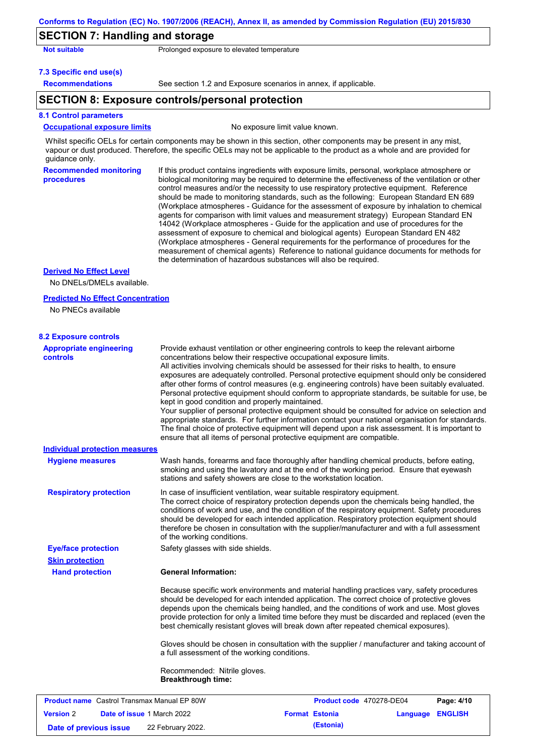## **SECTION 7: Handling and storage**

| <b>Not suitable</b> |  |  |
|---------------------|--|--|
|                     |  |  |

Prolonged exposure to elevated temperature

#### **7.3 Specific end use(s)**

**Recommendations**

See section 1.2 and Exposure scenarios in annex, if applicable.

## **SECTION 8: Exposure controls/personal protection**

#### **8.1 Control parameters**

#### **Occupational exposure limits** No exposure limit value known.

Whilst specific OELs for certain components may be shown in this section, other components may be present in any mist, vapour or dust produced. Therefore, the specific OELs may not be applicable to the product as a whole and are provided for guidance only.

**Recommended monitoring procedures**

If this product contains ingredients with exposure limits, personal, workplace atmosphere or biological monitoring may be required to determine the effectiveness of the ventilation or other control measures and/or the necessity to use respiratory protective equipment. Reference should be made to monitoring standards, such as the following: European Standard EN 689 (Workplace atmospheres - Guidance for the assessment of exposure by inhalation to chemical agents for comparison with limit values and measurement strategy) European Standard EN 14042 (Workplace atmospheres - Guide for the application and use of procedures for the assessment of exposure to chemical and biological agents) European Standard EN 482 (Workplace atmospheres - General requirements for the performance of procedures for the measurement of chemical agents) Reference to national guidance documents for methods for the determination of hazardous substances will also be required.

### **Derived No Effect Level**

No DNELs/DMELs available.

#### **Predicted No Effect Concentration**

No PNECs available

| <b>Appropriate engineering</b>                     | Provide exhaust ventilation or other engineering controls to keep the relevant airborne                                                                                                                                                                                                                                                                                                                                                                                                                                                                                                                                                                                                                                                                                                                                            |
|----------------------------------------------------|------------------------------------------------------------------------------------------------------------------------------------------------------------------------------------------------------------------------------------------------------------------------------------------------------------------------------------------------------------------------------------------------------------------------------------------------------------------------------------------------------------------------------------------------------------------------------------------------------------------------------------------------------------------------------------------------------------------------------------------------------------------------------------------------------------------------------------|
| <b>controls</b>                                    | concentrations below their respective occupational exposure limits.<br>All activities involving chemicals should be assessed for their risks to health, to ensure<br>exposures are adequately controlled. Personal protective equipment should only be considered<br>after other forms of control measures (e.g. engineering controls) have been suitably evaluated.<br>Personal protective equipment should conform to appropriate standards, be suitable for use, be<br>kept in good condition and properly maintained.<br>Your supplier of personal protective equipment should be consulted for advice on selection and<br>appropriate standards. For further information contact your national organisation for standards.<br>The final choice of protective equipment will depend upon a risk assessment. It is important to |
|                                                    | ensure that all items of personal protective equipment are compatible.                                                                                                                                                                                                                                                                                                                                                                                                                                                                                                                                                                                                                                                                                                                                                             |
| <b>Individual protection measures</b>              |                                                                                                                                                                                                                                                                                                                                                                                                                                                                                                                                                                                                                                                                                                                                                                                                                                    |
| <b>Hygiene measures</b>                            | Wash hands, forearms and face thoroughly after handling chemical products, before eating,<br>smoking and using the lavatory and at the end of the working period. Ensure that eyewash<br>stations and safety showers are close to the workstation location.                                                                                                                                                                                                                                                                                                                                                                                                                                                                                                                                                                        |
| <b>Respiratory protection</b>                      | In case of insufficient ventilation, wear suitable respiratory equipment.<br>The correct choice of respiratory protection depends upon the chemicals being handled, the<br>conditions of work and use, and the condition of the respiratory equipment. Safety procedures<br>should be developed for each intended application. Respiratory protection equipment should<br>therefore be chosen in consultation with the supplier/manufacturer and with a full assessment<br>of the working conditions.                                                                                                                                                                                                                                                                                                                              |
| <b>Eye/face protection</b>                         | Safety glasses with side shields.                                                                                                                                                                                                                                                                                                                                                                                                                                                                                                                                                                                                                                                                                                                                                                                                  |
| <b>Skin protection</b>                             |                                                                                                                                                                                                                                                                                                                                                                                                                                                                                                                                                                                                                                                                                                                                                                                                                                    |
| <b>Hand protection</b>                             | <b>General Information:</b>                                                                                                                                                                                                                                                                                                                                                                                                                                                                                                                                                                                                                                                                                                                                                                                                        |
|                                                    | Because specific work environments and material handling practices vary, safety procedures<br>should be developed for each intended application. The correct choice of protective gloves<br>depends upon the chemicals being handled, and the conditions of work and use. Most gloves<br>provide protection for only a limited time before they must be discarded and replaced (even the<br>best chemically resistant gloves will break down after repeated chemical exposures).                                                                                                                                                                                                                                                                                                                                                   |
|                                                    | Gloves should be chosen in consultation with the supplier / manufacturer and taking account of<br>a full assessment of the working conditions.                                                                                                                                                                                                                                                                                                                                                                                                                                                                                                                                                                                                                                                                                     |
|                                                    | Recommended: Nitrile gloves.<br><b>Breakthrough time:</b>                                                                                                                                                                                                                                                                                                                                                                                                                                                                                                                                                                                                                                                                                                                                                                          |
| <b>Product name</b> Castrol Transmax Manual EP 80W | Product code 470278-DE04<br>Page: 4/10                                                                                                                                                                                                                                                                                                                                                                                                                                                                                                                                                                                                                                                                                                                                                                                             |

**Version** 2 **Date of issue** 1 March 2022 **Format Estonia Language ENGLISH Date of previous issue (Estonia)** 22 February 2022.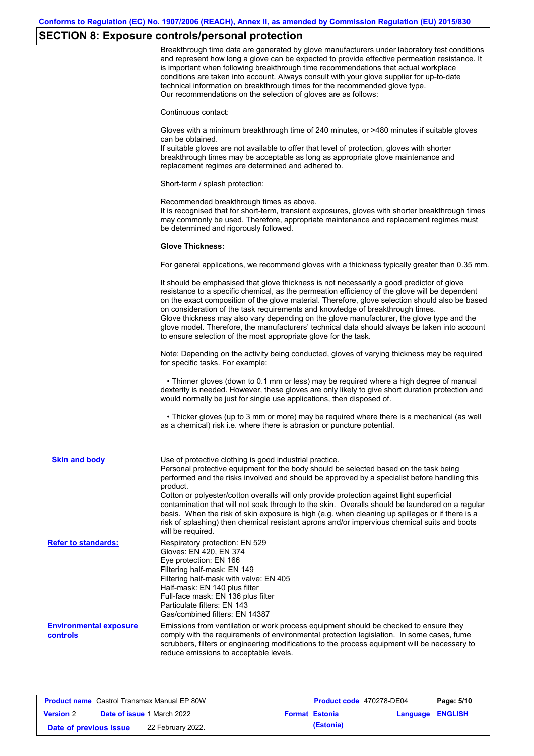# **SECTION 8: Exposure controls/personal protection**

|                                                  | Breakthrough time data are generated by glove manufacturers under laboratory test conditions<br>and represent how long a glove can be expected to provide effective permeation resistance. It<br>is important when following breakthrough time recommendations that actual workplace<br>conditions are taken into account. Always consult with your glove supplier for up-to-date<br>technical information on breakthrough times for the recommended glove type.<br>Our recommendations on the selection of gloves are as follows:                                                                                                                |
|--------------------------------------------------|---------------------------------------------------------------------------------------------------------------------------------------------------------------------------------------------------------------------------------------------------------------------------------------------------------------------------------------------------------------------------------------------------------------------------------------------------------------------------------------------------------------------------------------------------------------------------------------------------------------------------------------------------|
|                                                  | Continuous contact:                                                                                                                                                                                                                                                                                                                                                                                                                                                                                                                                                                                                                               |
|                                                  | Gloves with a minimum breakthrough time of 240 minutes, or >480 minutes if suitable gloves<br>can be obtained.<br>If suitable gloves are not available to offer that level of protection, gloves with shorter<br>breakthrough times may be acceptable as long as appropriate glove maintenance and<br>replacement regimes are determined and adhered to.                                                                                                                                                                                                                                                                                          |
|                                                  | Short-term / splash protection:                                                                                                                                                                                                                                                                                                                                                                                                                                                                                                                                                                                                                   |
|                                                  | Recommended breakthrough times as above.<br>It is recognised that for short-term, transient exposures, gloves with shorter breakthrough times<br>may commonly be used. Therefore, appropriate maintenance and replacement regimes must<br>be determined and rigorously followed.                                                                                                                                                                                                                                                                                                                                                                  |
|                                                  | <b>Glove Thickness:</b>                                                                                                                                                                                                                                                                                                                                                                                                                                                                                                                                                                                                                           |
|                                                  | For general applications, we recommend gloves with a thickness typically greater than 0.35 mm.                                                                                                                                                                                                                                                                                                                                                                                                                                                                                                                                                    |
|                                                  | It should be emphasised that glove thickness is not necessarily a good predictor of glove<br>resistance to a specific chemical, as the permeation efficiency of the glove will be dependent<br>on the exact composition of the glove material. Therefore, glove selection should also be based<br>on consideration of the task requirements and knowledge of breakthrough times.<br>Glove thickness may also vary depending on the glove manufacturer, the glove type and the<br>glove model. Therefore, the manufacturers' technical data should always be taken into account<br>to ensure selection of the most appropriate glove for the task. |
|                                                  | Note: Depending on the activity being conducted, gloves of varying thickness may be required<br>for specific tasks. For example:                                                                                                                                                                                                                                                                                                                                                                                                                                                                                                                  |
|                                                  | • Thinner gloves (down to 0.1 mm or less) may be required where a high degree of manual<br>dexterity is needed. However, these gloves are only likely to give short duration protection and<br>would normally be just for single use applications, then disposed of.                                                                                                                                                                                                                                                                                                                                                                              |
|                                                  | • Thicker gloves (up to 3 mm or more) may be required where there is a mechanical (as well<br>as a chemical) risk i.e. where there is abrasion or puncture potential.                                                                                                                                                                                                                                                                                                                                                                                                                                                                             |
| <b>Skin and body</b>                             | Use of protective clothing is good industrial practice.<br>Personal protective equipment for the body should be selected based on the task being<br>performed and the risks involved and should be approved by a specialist before handling this<br>product.                                                                                                                                                                                                                                                                                                                                                                                      |
|                                                  | Cotton or polyester/cotton overalls will only provide protection against light superficial<br>contamination that will not soak through to the skin. Overalls should be laundered on a regular<br>basis. When the risk of skin exposure is high (e.g. when cleaning up spillages or if there is a<br>risk of splashing) then chemical resistant aprons and/or impervious chemical suits and boots<br>will be required.                                                                                                                                                                                                                             |
| <b>Refer to standards:</b>                       | Respiratory protection: EN 529<br>Gloves: EN 420, EN 374<br>Eye protection: EN 166<br>Filtering half-mask: EN 149<br>Filtering half-mask with valve: EN 405<br>Half-mask: EN 140 plus filter<br>Full-face mask: EN 136 plus filter<br>Particulate filters: EN 143<br>Gas/combined filters: EN 14387                                                                                                                                                                                                                                                                                                                                               |
| <b>Environmental exposure</b><br><b>controls</b> | Emissions from ventilation or work process equipment should be checked to ensure they<br>comply with the requirements of environmental protection legislation. In some cases, fume<br>scrubbers, filters or engineering modifications to the process equipment will be necessary to<br>reduce emissions to acceptable levels.                                                                                                                                                                                                                                                                                                                     |

| <b>Product name</b> Castrol Transmax Manual EP 80W |  |                                   | <b>Product code</b> 470278-DE04 | Page: 5/10            |                  |  |
|----------------------------------------------------|--|-----------------------------------|---------------------------------|-----------------------|------------------|--|
| <b>Version 2</b>                                   |  | <b>Date of issue 1 March 2022</b> |                                 | <b>Format Estonia</b> | Language ENGLISH |  |
| Date of previous issue                             |  | 22 February 2022.                 |                                 | (Estonia)             |                  |  |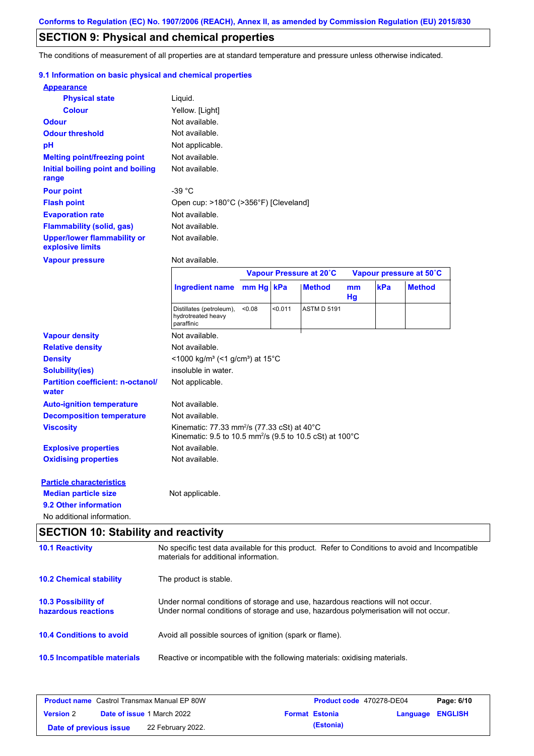## **SECTION 9: Physical and chemical properties**

The conditions of measurement of all properties are at standard temperature and pressure unless otherwise indicated.

## **9.1 Information on basic physical and chemical properties**

| <b>Appearance</b>                                      |                                                                                                                                                                         |           |         |                         |                     |     |                         |  |
|--------------------------------------------------------|-------------------------------------------------------------------------------------------------------------------------------------------------------------------------|-----------|---------|-------------------------|---------------------|-----|-------------------------|--|
| <b>Physical state</b>                                  | Liquid.                                                                                                                                                                 |           |         |                         |                     |     |                         |  |
| <b>Colour</b>                                          | Yellow. [Light]                                                                                                                                                         |           |         |                         |                     |     |                         |  |
| <b>Odour</b>                                           | Not available.                                                                                                                                                          |           |         |                         |                     |     |                         |  |
| <b>Odour threshold</b>                                 | Not available.                                                                                                                                                          |           |         |                         |                     |     |                         |  |
| pH                                                     | Not applicable.                                                                                                                                                         |           |         |                         |                     |     |                         |  |
| <b>Melting point/freezing point</b>                    | Not available.                                                                                                                                                          |           |         |                         |                     |     |                         |  |
| Initial boiling point and boiling<br>range             | Not available.                                                                                                                                                          |           |         |                         |                     |     |                         |  |
| <b>Pour point</b>                                      | $-39 °C$                                                                                                                                                                |           |         |                         |                     |     |                         |  |
| <b>Flash point</b>                                     | Open cup: >180°C (>356°F) [Cleveland]                                                                                                                                   |           |         |                         |                     |     |                         |  |
| <b>Evaporation rate</b>                                | Not available.                                                                                                                                                          |           |         |                         |                     |     |                         |  |
| <b>Flammability (solid, gas)</b>                       | Not available.                                                                                                                                                          |           |         |                         |                     |     |                         |  |
| <b>Upper/lower flammability or</b><br>explosive limits | Not available.                                                                                                                                                          |           |         |                         |                     |     |                         |  |
| <b>Vapour pressure</b>                                 | Not available.                                                                                                                                                          |           |         |                         |                     |     |                         |  |
|                                                        |                                                                                                                                                                         |           |         | Vapour Pressure at 20°C |                     |     | Vapour pressure at 50°C |  |
|                                                        | <b>Ingredient name</b>                                                                                                                                                  | mm Hg kPa |         | <b>Method</b>           | <sub>mm</sub><br>Hg | kPa | <b>Method</b>           |  |
|                                                        | Distillates (petroleum),<br>hydrotreated heavy<br>paraffinic                                                                                                            | < 0.08    | < 0.011 | <b>ASTM D 5191</b>      |                     |     |                         |  |
| <b>Vapour density</b>                                  | Not available.                                                                                                                                                          |           |         |                         |                     |     |                         |  |
| <b>Relative density</b>                                | Not available.                                                                                                                                                          |           |         |                         |                     |     |                         |  |
| <b>Density</b>                                         | <1000 kg/m <sup>3</sup> (<1 g/cm <sup>3</sup> ) at 15 <sup>°</sup> C                                                                                                    |           |         |                         |                     |     |                         |  |
| <b>Solubility(ies)</b>                                 | insoluble in water.                                                                                                                                                     |           |         |                         |                     |     |                         |  |
| <b>Partition coefficient: n-octanol/</b><br>water      | Not applicable.                                                                                                                                                         |           |         |                         |                     |     |                         |  |
| <b>Auto-ignition temperature</b>                       | Not available.                                                                                                                                                          |           |         |                         |                     |     |                         |  |
| <b>Decomposition temperature</b>                       | Not available.                                                                                                                                                          |           |         |                         |                     |     |                         |  |
| <b>Viscosity</b>                                       | Kinematic: 77.33 mm <sup>2</sup> /s (77.33 cSt) at 40 $^{\circ}$ C<br>Kinematic: 9.5 to 10.5 mm <sup>2</sup> /s (9.5 to 10.5 cSt) at 100°C                              |           |         |                         |                     |     |                         |  |
| <b>Explosive properties</b>                            | Not available.                                                                                                                                                          |           |         |                         |                     |     |                         |  |
| <b>Oxidising properties</b>                            | Not available.                                                                                                                                                          |           |         |                         |                     |     |                         |  |
| <b>Particle characteristics</b>                        |                                                                                                                                                                         |           |         |                         |                     |     |                         |  |
| <b>Median particle size</b>                            | Not applicable.                                                                                                                                                         |           |         |                         |                     |     |                         |  |
| 9.2 Other information                                  |                                                                                                                                                                         |           |         |                         |                     |     |                         |  |
| No additional information.                             |                                                                                                                                                                         |           |         |                         |                     |     |                         |  |
| <b>SECTION 10: Stability and reactivity</b>            |                                                                                                                                                                         |           |         |                         |                     |     |                         |  |
| <b>10.1 Reactivity</b>                                 | No specific test data available for this product. Refer to Conditions to avoid and Incompatible<br>materials for additional information.                                |           |         |                         |                     |     |                         |  |
| <b>10.2 Chemical stability</b>                         | The product is stable.                                                                                                                                                  |           |         |                         |                     |     |                         |  |
| 10.3 Possibility of<br>hazardous reactions             | Under normal conditions of storage and use, hazardous reactions will not occur.<br>Under normal conditions of storage and use, hazardous polymerisation will not occur. |           |         |                         |                     |     |                         |  |
| <b>10.4 Conditions to avoid</b>                        | Avoid all possible sources of ignition (spark or flame).                                                                                                                |           |         |                         |                     |     |                         |  |
| 10.5 Incompatible materials                            | Reactive or incompatible with the following materials: oxidising materials.                                                                                             |           |         |                         |                     |     |                         |  |

| <b>Product name</b> Castrol Transmax Manual EP 80W |  |                                   | <b>Product code</b> 470278-DE04 |                       | Page: 6/10       |  |
|----------------------------------------------------|--|-----------------------------------|---------------------------------|-----------------------|------------------|--|
| <b>Version 2</b>                                   |  | <b>Date of issue 1 March 2022</b> |                                 | <b>Format Estonia</b> | Language ENGLISH |  |
| Date of previous issue                             |  | 22 February 2022.                 |                                 | (Estonia)             |                  |  |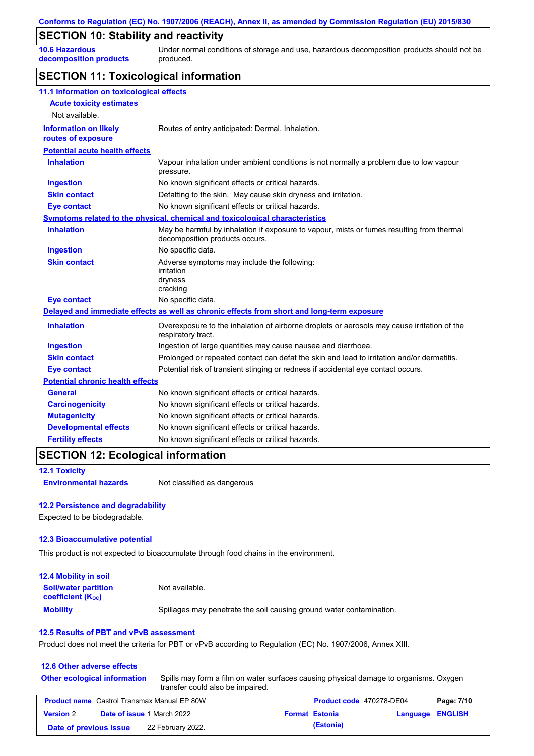# **SECTION 10: Stability and reactivity**

**10.6 Hazardous decomposition products** Under normal conditions of storage and use, hazardous decomposition products should not be produced.

## **SECTION 11: Toxicological information**

| 11.1 Information on toxicological effects          |                                                                                                                             |
|----------------------------------------------------|-----------------------------------------------------------------------------------------------------------------------------|
| <b>Acute toxicity estimates</b>                    |                                                                                                                             |
| Not available.                                     |                                                                                                                             |
| <b>Information on likely</b><br>routes of exposure | Routes of entry anticipated: Dermal, Inhalation.                                                                            |
| <b>Potential acute health effects</b>              |                                                                                                                             |
| <b>Inhalation</b>                                  | Vapour inhalation under ambient conditions is not normally a problem due to low vapour<br>pressure.                         |
| <b>Ingestion</b>                                   | No known significant effects or critical hazards.                                                                           |
| <b>Skin contact</b>                                | Defatting to the skin. May cause skin dryness and irritation.                                                               |
| <b>Eye contact</b>                                 | No known significant effects or critical hazards.                                                                           |
|                                                    | Symptoms related to the physical, chemical and toxicological characteristics                                                |
| <b>Inhalation</b>                                  | May be harmful by inhalation if exposure to vapour, mists or fumes resulting from thermal<br>decomposition products occurs. |
| <b>Ingestion</b>                                   | No specific data.                                                                                                           |
| <b>Skin contact</b>                                | Adverse symptoms may include the following:<br>irritation<br>dryness<br>cracking                                            |
| <b>Eye contact</b>                                 | No specific data.                                                                                                           |
|                                                    | Delayed and immediate effects as well as chronic effects from short and long-term exposure                                  |
| <b>Inhalation</b>                                  | Overexposure to the inhalation of airborne droplets or aerosols may cause irritation of the<br>respiratory tract.           |
| <b>Ingestion</b>                                   | Ingestion of large quantities may cause nausea and diarrhoea.                                                               |
| <b>Skin contact</b>                                | Prolonged or repeated contact can defat the skin and lead to irritation and/or dermatitis.                                  |
| <b>Eye contact</b>                                 | Potential risk of transient stinging or redness if accidental eye contact occurs.                                           |
| <b>Potential chronic health effects</b>            |                                                                                                                             |
| <b>General</b>                                     | No known significant effects or critical hazards.                                                                           |
| <b>Carcinogenicity</b>                             | No known significant effects or critical hazards.                                                                           |
| <b>Mutagenicity</b>                                | No known significant effects or critical hazards.                                                                           |
| <b>Developmental effects</b>                       | No known significant effects or critical hazards.                                                                           |
| <b>Fertility effects</b>                           | No known significant effects or critical hazards.                                                                           |
|                                                    |                                                                                                                             |

## **SECTION 12: Ecological information**

**12.1 Toxicity**

**Environmental hazards** Not classified as dangerous

### **12.2 Persistence and degradability**

Expected to be biodegradable.

#### **12.3 Bioaccumulative potential**

This product is not expected to bioaccumulate through food chains in the environment.

| <b>12.4 Mobility in soil</b>                                  |                                                                      |
|---------------------------------------------------------------|----------------------------------------------------------------------|
| <b>Soil/water partition</b><br>coefficient (K <sub>oc</sub> ) | Not available.                                                       |
| <b>Mobility</b>                                               | Spillages may penetrate the soil causing ground water contamination. |

## **12.5 Results of PBT and vPvB assessment**

Product does not meet the criteria for PBT or vPvB according to Regulation (EC) No. 1907/2006, Annex XIII.

### **12.6 Other adverse effects**

| transfer could also be impaired. | Other ecological information Spills may form a film on water surfaces causing physical damage to organisms. Oxygen |
|----------------------------------|--------------------------------------------------------------------------------------------------------------------|
|                                  | $- \cdot \cdot$                                                                                                    |

| <b>Product name</b> Castrol Transmax Manual EP 80W |  |                                   | <b>Product code</b> 470278-DE04 |                       | Page: 7/10              |  |
|----------------------------------------------------|--|-----------------------------------|---------------------------------|-----------------------|-------------------------|--|
| <b>Version 2</b>                                   |  | <b>Date of issue 1 March 2022</b> |                                 | <b>Format Estonia</b> | <b>Language ENGLISH</b> |  |
| Date of previous issue                             |  | 22 February 2022.                 |                                 | (Estonia)             |                         |  |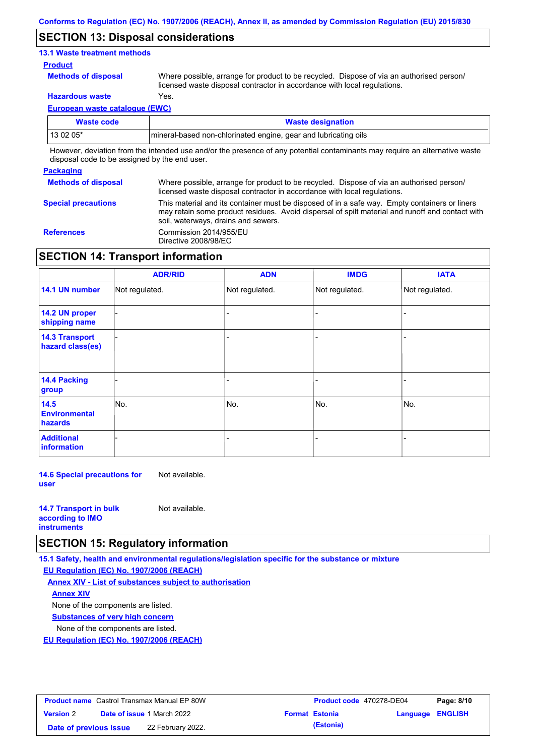## **SECTION 13: Disposal considerations**

## **13.1 Waste treatment methods**

#### **Product**

**Methods of disposal**

Where possible, arrange for product to be recycled. Dispose of via an authorised person/ licensed waste disposal contractor in accordance with local regulations.

**Hazardous waste** Yes.

**European waste catalogue (EWC)**

| Waste code                                                                                                                  | <b>Waste designation</b>                                         |  |  |  |
|-----------------------------------------------------------------------------------------------------------------------------|------------------------------------------------------------------|--|--|--|
| 13 02 05*                                                                                                                   | Imineral-based non-chlorinated engine, gear and lubricating oils |  |  |  |
| However, deviation from the intended use and/or the presence of any potential contaminants may require an alternative waste |                                                                  |  |  |  |

disposal code to be assigned by the end user.

## **Packaging**

| <b>Methods of disposal</b> | Where possible, arrange for product to be recycled. Dispose of via an authorised person/<br>licensed waste disposal contractor in accordance with local regulations.                                                                    |
|----------------------------|-----------------------------------------------------------------------------------------------------------------------------------------------------------------------------------------------------------------------------------------|
| <b>Special precautions</b> | This material and its container must be disposed of in a safe way. Empty containers or liners<br>may retain some product residues. Avoid dispersal of spilt material and runoff and contact with<br>soil, waterways, drains and sewers. |
| <b>References</b>          | Commission 2014/955/EU<br>Directive 2008/98/EC                                                                                                                                                                                          |

## **SECTION 14: Transport information**

|                                           | <b>ADR/RID</b> | <b>ADN</b>     | <b>IMDG</b>    | <b>IATA</b>    |
|-------------------------------------------|----------------|----------------|----------------|----------------|
| 14.1 UN number                            | Not regulated. | Not regulated. | Not regulated. | Not regulated. |
| 14.2 UN proper<br>shipping name           |                |                |                |                |
| <b>14.3 Transport</b><br>hazard class(es) |                |                |                |                |
| 14.4 Packing<br>group                     |                |                |                |                |
| 14.5<br><b>Environmental</b><br>hazards   | No.            | No.            | No.            | No.            |
| <b>Additional</b><br>information          |                |                |                |                |

**14.6 Special precautions for user** Not available.

| <b>14.7 Transport in bulk</b> | Not available. |
|-------------------------------|----------------|
| according to <b>IMO</b>       |                |
| <b>instruments</b>            |                |

## **SECTION 15: Regulatory information**

**15.1 Safety, health and environmental regulations/legislation specific for the substance or mixture**

**EU Regulation (EC) No. 1907/2006 (REACH)**

**Annex XIV - List of substances subject to authorisation Substances of very high concern** None of the components are listed. None of the components are listed. **Annex XIV**

**EU Regulation (EC) No. 1907/2006 (REACH)**

| <b>Product name</b> Castrol Transmax Manual EP 80W |  | <b>Product code 470278-DE04</b>   |  | Page: 8/10            |                         |  |
|----------------------------------------------------|--|-----------------------------------|--|-----------------------|-------------------------|--|
| <b>Version 2</b>                                   |  | <b>Date of issue 1 March 2022</b> |  | <b>Format Estonia</b> | <b>Language ENGLISH</b> |  |
| Date of previous issue                             |  | 22 February 2022.                 |  | (Estonia)             |                         |  |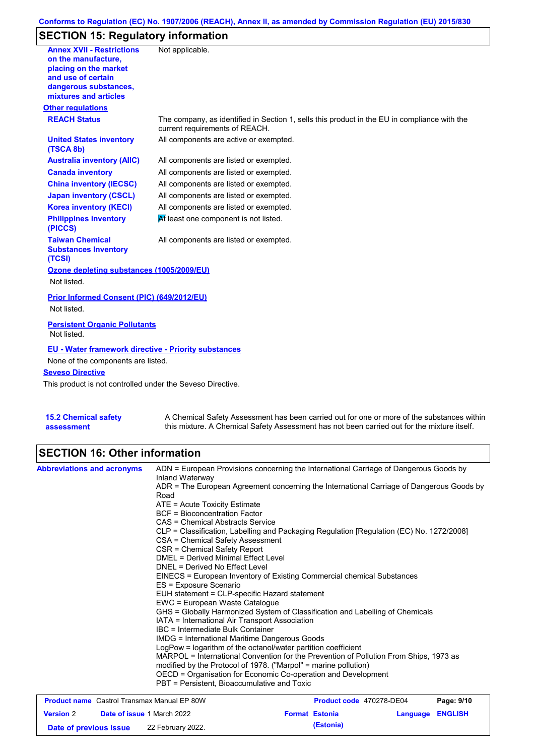## **Conforms to Regulation (EC) No. 1907/2006 (REACH), Annex II, as amended by Commission Regulation (EU) 2015/830**

# **SECTION 15: Regulatory information**

| <b>Annex XVII - Restrictions</b><br>on the manufacture,<br>placing on the market<br>and use of certain<br>dangerous substances,<br>mixtures and articles | Not applicable.                                                                                                                |
|----------------------------------------------------------------------------------------------------------------------------------------------------------|--------------------------------------------------------------------------------------------------------------------------------|
| <b>Other regulations</b>                                                                                                                                 |                                                                                                                                |
| <b>REACH Status</b>                                                                                                                                      | The company, as identified in Section 1, sells this product in the EU in compliance with the<br>current requirements of REACH. |
| <b>United States inventory</b><br>(TSCA 8b)                                                                                                              | All components are active or exempted.                                                                                         |
| <b>Australia inventory (AIIC)</b>                                                                                                                        | All components are listed or exempted.                                                                                         |
| <b>Canada inventory</b>                                                                                                                                  | All components are listed or exempted.                                                                                         |
| <b>China inventory (IECSC)</b>                                                                                                                           | All components are listed or exempted.                                                                                         |
| <b>Japan inventory (CSCL)</b>                                                                                                                            | All components are listed or exempted.                                                                                         |
| <b>Korea inventory (KECI)</b>                                                                                                                            | All components are listed or exempted.                                                                                         |
| <b>Philippines inventory</b><br>(PICCS)                                                                                                                  | At least one component is not listed.                                                                                          |
| <b>Taiwan Chemical</b><br><b>Substances Inventory</b><br>(TCSI)                                                                                          | All components are listed or exempted.                                                                                         |
| Ozone depleting substances (1005/2009/EU)                                                                                                                |                                                                                                                                |
| Not listed.                                                                                                                                              |                                                                                                                                |
| Prior Informed Consent (PIC) (649/2012/EU)<br>Not listed.                                                                                                |                                                                                                                                |
| <b>Persistent Organic Pollutants</b><br>Not listed.                                                                                                      |                                                                                                                                |
| <b>EU - Water framework directive - Priority substances</b>                                                                                              |                                                                                                                                |
| None of the components are listed.                                                                                                                       |                                                                                                                                |
| <b>Seveso Directive</b>                                                                                                                                  |                                                                                                                                |
| This product is not controlled under the Seveso Directive.                                                                                               |                                                                                                                                |
|                                                                                                                                                          |                                                                                                                                |

| <b>15.2 Chemical safety</b> | A Chemical Safety Assessment has been carried out for one or more of the substances within  |
|-----------------------------|---------------------------------------------------------------------------------------------|
| assessment                  | this mixture. A Chemical Safety Assessment has not been carried out for the mixture itself. |

# **SECTION 16: Other information**

| <b>Abbreviations and acronyms</b>                  | Inland Waterway                                                                                                                                          | ADN = European Provisions concerning the International Carriage of Dangerous Goods by    |            |
|----------------------------------------------------|----------------------------------------------------------------------------------------------------------------------------------------------------------|------------------------------------------------------------------------------------------|------------|
|                                                    | Road                                                                                                                                                     | ADR = The European Agreement concerning the International Carriage of Dangerous Goods by |            |
|                                                    | $ATE = Acute Toxicity Estimate$                                                                                                                          |                                                                                          |            |
|                                                    | <b>BCF</b> = Bioconcentration Factor                                                                                                                     |                                                                                          |            |
|                                                    | CAS = Chemical Abstracts Service                                                                                                                         |                                                                                          |            |
|                                                    | CSA = Chemical Safety Assessment                                                                                                                         | CLP = Classification, Labelling and Packaging Regulation [Regulation (EC) No. 1272/2008] |            |
|                                                    | CSR = Chemical Safety Report                                                                                                                             |                                                                                          |            |
|                                                    | DMEL = Derived Minimal Effect Level                                                                                                                      |                                                                                          |            |
|                                                    | DNEL = Derived No Effect Level                                                                                                                           |                                                                                          |            |
|                                                    |                                                                                                                                                          | EINECS = European Inventory of Existing Commercial chemical Substances                   |            |
|                                                    | ES = Exposure Scenario                                                                                                                                   |                                                                                          |            |
|                                                    | EUH statement = CLP-specific Hazard statement                                                                                                            |                                                                                          |            |
|                                                    | EWC = European Waste Catalogue                                                                                                                           |                                                                                          |            |
|                                                    |                                                                                                                                                          | GHS = Globally Harmonized System of Classification and Labelling of Chemicals            |            |
|                                                    | IATA = International Air Transport Association                                                                                                           |                                                                                          |            |
|                                                    | IBC = Intermediate Bulk Container                                                                                                                        |                                                                                          |            |
|                                                    | <b>IMDG</b> = International Maritime Dangerous Goods                                                                                                     |                                                                                          |            |
|                                                    | LogPow = logarithm of the octanol/water partition coefficient                                                                                            |                                                                                          |            |
|                                                    | MARPOL = International Convention for the Prevention of Pollution From Ships, 1973 as<br>modified by the Protocol of 1978. ("Marpol" = marine pollution) |                                                                                          |            |
|                                                    | OECD = Organisation for Economic Co-operation and Development                                                                                            |                                                                                          |            |
|                                                    | PBT = Persistent, Bioaccumulative and Toxic                                                                                                              |                                                                                          |            |
| <b>Product name</b> Castrol Transmax Manual EP 80W |                                                                                                                                                          | Product code 470278-DE04                                                                 | Page: 9/10 |

|                        | <b>Product name</b> Castrol Transmax Manual EP 80W | <b>Product code</b> 470278-DE04 |                  | Page: 9/10 |
|------------------------|----------------------------------------------------|---------------------------------|------------------|------------|
| <b>Version 2</b>       | <b>Date of issue 1 March 2022</b>                  | <b>Format Estonia</b>           | Language ENGLISH |            |
| Date of previous issue | 22 February 2022.                                  | (Estonia)                       |                  |            |